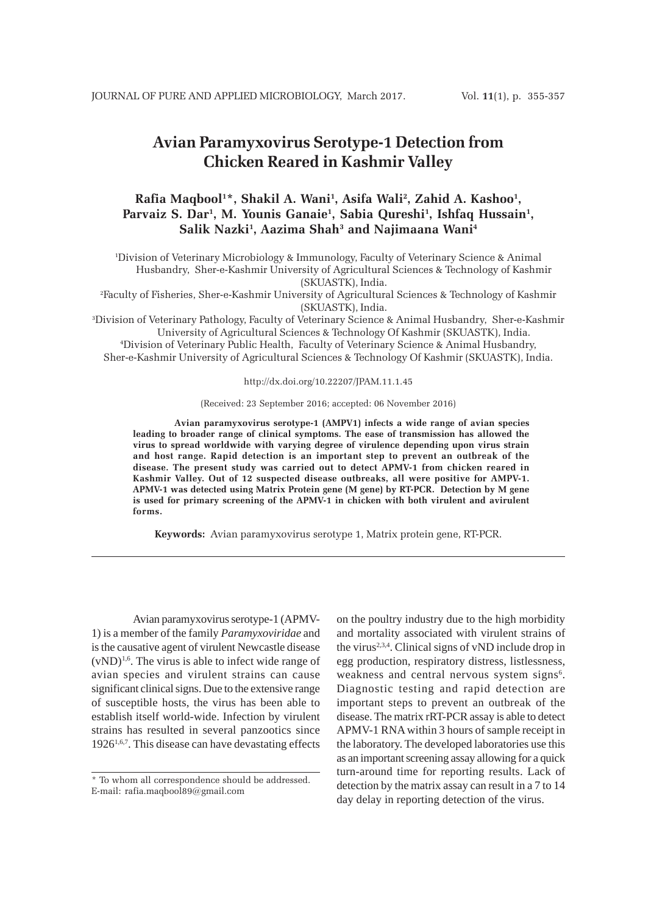# **Avian Paramyxovirus Serotype-1 Detection from Chicken Reared in Kashmir Valley**

# Rafia Maqbool $^{1*}$ , Shakil A. Wani<sup>1</sup>, Asifa Wali<sup>2</sup>, Zahid A. Kashoo<sup>1</sup>, Parvaiz S. Dar<sup>1</sup>, M. Younis Ganaie<sup>1</sup>, Sabia Qureshi<sup>1</sup>, Ishfaq Hussain<sup>1</sup>, **Salik Nazki1 , Aazima Shah3 and Najimaana Wani4**

1 Division of Veterinary Microbiology & Immunology, Faculty of Veterinary Science & Animal Husbandry, Sher-e-Kashmir University of Agricultural Sciences & Technology of Kashmir (SKUASTK), India.

2 Faculty of Fisheries, Sher-e-Kashmir University of Agricultural Sciences & Technology of Kashmir (SKUASTK), India.

3 Division of Veterinary Pathology, Faculty of Veterinary Science & Animal Husbandry, Sher-e-Kashmir University of Agricultural Sciences & Technology Of Kashmir (SKUASTK), India.

4 Division of Veterinary Public Health, Faculty of Veterinary Science & Animal Husbandry, Sher-e-Kashmir University of Agricultural Sciences & Technology Of Kashmir (SKUASTK), India.

#### http://dx.doi.org/10.22207/JPAM.11.1.45

#### (Received: 23 September 2016; accepted: 06 November 2016)

**Avian paramyxovirus serotype-1 (AMPV1) infects a wide range of avian species leading to broader range of clinical symptoms. The ease of transmission has allowed the virus to spread worldwide with varying degree of virulence depending upon virus strain and host range. Rapid detection is an important step to prevent an outbreak of the disease. The present study was carried out to detect APMV-1 from chicken reared in Kashmir Valley. Out of 12 suspected disease outbreaks, all were positive for AMPV-1. APMV-1 was detected using Matrix Protein gene (M gene) by RT-PCR. Detection by M gene is used for primary screening of the APMV-1 in chicken with both virulent and avirulent forms.**

**Keywords:** Avian paramyxovirus serotype 1, Matrix protein gene, RT-PCR.

Avian paramyxovirus serotype-1 (APMV-1) is a member of the family *Paramyxoviridae* and is the causative agent of virulent Newcastle disease  $(vND)^{1,6}$ . The virus is able to infect wide range of avian species and virulent strains can cause significant clinical signs. Due to the extensive range of susceptible hosts, the virus has been able to establish itself world-wide. Infection by virulent strains has resulted in several panzootics since  $1926^{1,6,7}$ . This disease can have devastating effects

on the poultry industry due to the high morbidity and mortality associated with virulent strains of the virus<sup>2,3,4</sup>. Clinical signs of vND include drop in egg production, respiratory distress, listlessness, weakness and central nervous system signs<sup>6</sup>. Diagnostic testing and rapid detection are important steps to prevent an outbreak of the disease. The matrix rRT-PCR assay is able to detect APMV-1 RNA within 3 hours of sample receipt in the laboratory. The developed laboratories use this as an important screening assay allowing for a quick turn-around time for reporting results. Lack of detection by the matrix assay can result in a 7 to 14 day delay in reporting detection of the virus.

<sup>\*</sup> To whom all correspondence should be addressed. E-mail: rafia.maqbool89@gmail.com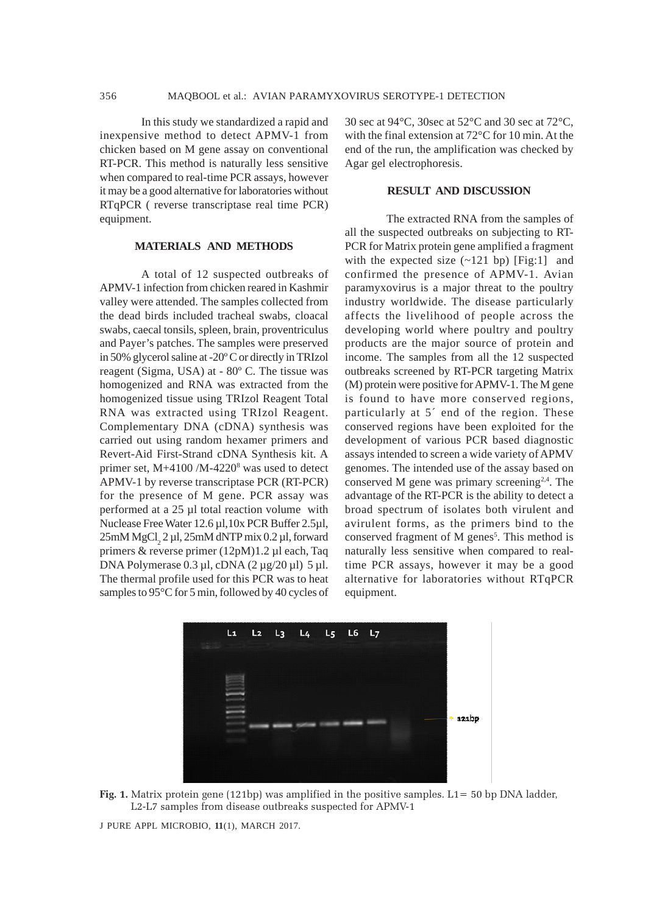In this study we standardized a rapid and inexpensive method to detect APMV-1 from chicken based on M gene assay on conventional RT-PCR. This method is naturally less sensitive when compared to real-time PCR assays, however it may be a good alternative for laboratories without RTqPCR ( reverse transcriptase real time PCR) equipment.

### **MATERIALS AND METHODS**

A total of 12 suspected outbreaks of APMV-1 infection from chicken reared in Kashmir valley were attended. The samples collected from the dead birds included tracheal swabs, cloacal swabs, caecal tonsils, spleen, brain, proventriculus and Payer's patches. The samples were preserved in 50% glycerol saline at -20º C or directly in TRIzol reagent (Sigma, USA) at - 80º C. The tissue was homogenized and RNA was extracted from the homogenized tissue using TRIzol Reagent Total RNA was extracted using TRIzol Reagent. Complementary DNA (cDNA) synthesis was carried out using random hexamer primers and Revert-Aid First-Strand cDNA Synthesis kit. A primer set, M+4100 /M-4220<sup>8</sup> was used to detect APMV-1 by reverse transcriptase PCR (RT-PCR) for the presence of M gene. PCR assay was performed at a 25 µl total reaction volume with Nuclease Free Water 12.6 µl,10x PCR Buffer 2.5µl,  $25 \text{mM MgCl}_2$  2 µl,  $25 \text{mM dNTP mix } 0.2 \mu$ l, forward primers & reverse primer (12pM)1.2 µl each, Taq DNA Polymerase 0.3 µl, cDNA (2 µg/20 µl) 5 µl. The thermal profile used for this PCR was to heat samples to 95°C for 5 min, followed by 40 cycles of

30 sec at 94°C, 30sec at 52°C and 30 sec at 72°C, with the final extension at 72°C for 10 min. At the end of the run, the amplification was checked by Agar gel electrophoresis.

## **RESULT AND DISCUSSION**

The extracted RNA from the samples of all the suspected outbreaks on subjecting to RT-PCR for Matrix protein gene amplified a fragment with the expected size  $(\sim 121$  bp) [Fig:1] and confirmed the presence of APMV-1. Avian paramyxovirus is a major threat to the poultry industry worldwide. The disease particularly affects the livelihood of people across the developing world where poultry and poultry products are the major source of protein and income. The samples from all the 12 suspected outbreaks screened by RT-PCR targeting Matrix (M) protein were positive for APMV-1. The M gene is found to have more conserved regions, particularly at 5´ end of the region. These conserved regions have been exploited for the development of various PCR based diagnostic assays intended to screen a wide variety of APMV genomes. The intended use of the assay based on conserved M gene was primary screening<sup>2,4</sup>. The advantage of the RT-PCR is the ability to detect a broad spectrum of isolates both virulent and avirulent forms, as the primers bind to the conserved fragment of M genes<sup>5</sup>. This method is naturally less sensitive when compared to realtime PCR assays, however it may be a good alternative for laboratories without RTqPCR equipment.



**Fig. 1.** Matrix protein gene (121bp) was amplified in the positive samples. L1= 50 bp DNA ladder, L2-L7 samples from disease outbreaks suspected for APMV-1

J PURE APPL MICROBIO*,* **11**(1), MARCH 2017.